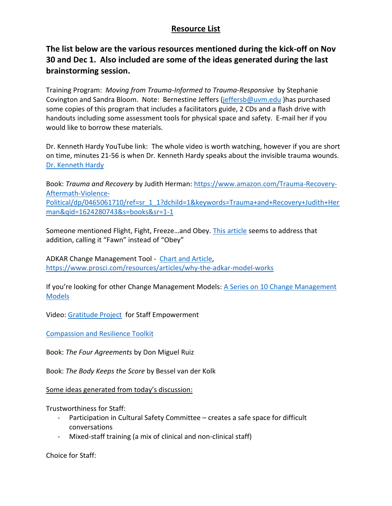## **Resource List**

## **The list below are the various resources mentioned during the kick-off on Nov 30 and Dec 1. Also included are some of the ideas generated during the last brainstorming session.**

Training Program: *Moving from Trauma-Informed to Trauma-Responsive* by Stephanie Covington and Sandra Bloom. Note: Bernestine Jeffers [\(jeffersb@uvm.edu](mailto:jeffersb@uvm.edu) )has purchased some copies of this program that includes a facilitators guide, 2 CDs and a flash drive with handouts including some assessment tools for physical space and safety. E-mail her if you would like to borrow these materials.

Dr. Kenneth Hardy YouTube link: The whole video is worth watching, however if you are short on time, minutes 21-56 is when Dr. Kenneth Hardy speaks about the invisible trauma wounds. [Dr. Kenneth Hardy](https://www.youtube.com/watch?v=h5mtPXRAKf8)

Book: *Trauma and Recovery* by Judith Herman: [https://www.amazon.com/Trauma-Recovery-](https://www.amazon.com/Trauma-Recovery-Aftermath-Violence-Political/dp/0465061710/ref=sr_1_1?dchild=1&keywords=Trauma+and+Recovery+Judith+Herman&qid=1624280743&s=books&sr=1-1)[Aftermath-Violence-](https://www.amazon.com/Trauma-Recovery-Aftermath-Violence-Political/dp/0465061710/ref=sr_1_1?dchild=1&keywords=Trauma+and+Recovery+Judith+Herman&qid=1624280743&s=books&sr=1-1)[Political/dp/0465061710/ref=sr\\_1\\_1?dchild=1&keywords=Trauma+and+Recovery+Judith+Her](https://www.amazon.com/Trauma-Recovery-Aftermath-Violence-Political/dp/0465061710/ref=sr_1_1?dchild=1&keywords=Trauma+and+Recovery+Judith+Herman&qid=1624280743&s=books&sr=1-1) [man&qid=1624280743&s=books&sr=1-1](https://www.amazon.com/Trauma-Recovery-Aftermath-Violence-Political/dp/0465061710/ref=sr_1_1?dchild=1&keywords=Trauma+and+Recovery+Judith+Herman&qid=1624280743&s=books&sr=1-1)

Someone mentioned Flight, Fight, Freeze…and Obey. [This article](https://www.psychologytoday.com/us/blog/addiction-and-recovery/202008/understanding-fight-flight-freeze-and-the-fawn-response) seems to address that addition, calling it "Fawn" instead of "Obey"

ADKAR Change Management Tool - [Chart and Article,](https://www.lucidchart.com/blog/using-the-adkar-model-for-change-management) <https://www.prosci.com/resources/articles/why-the-adkar-model-works>

If you're looking for other Change Management Models: A Series on 10 Change Management **[Models](https://sergiocaredda.eu/organisation/change-management-the-10-best-approaches-models/)** 

Video: [Gratitude Project](https://www.youtube.com/watch?v=4LoBrxAvhg8) for Staff Empowerment

[Compassion and Resilience Toolkit](https://compassionresiliencetoolkit.org/)

Book: *The Four Agreements* by Don Miguel Ruiz

Book: *The Body Keeps the Score* by Bessel van der Kolk

Some ideas generated from today's discussion:

Trustworthiness for Staff:

- Participation in Cultural Safety Committee creates a safe space for difficult conversations
- Mixed-staff training (a mix of clinical and non-clinical staff)

Choice for Staff: